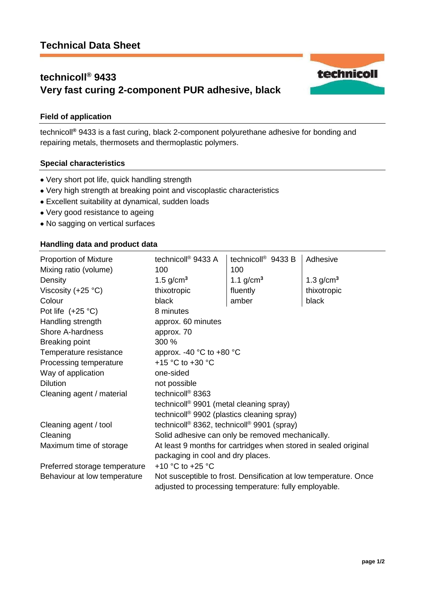# **technicoll® 9433 Very fast curing 2-component PUR adhesive, black**



technicoll**®** 9433 is a fast curing, black 2-component polyurethane adhesive for bonding and repairing metals, thermosets and thermoplastic polymers.

### **Special characteristics**

- Very short pot life, quick handling strength
- Very high strength at breaking point and viscoplastic characteristics
- Excellent suitability at dynamical, sudden loads
- Very good resistance to ageing
- No sagging on vertical surfaces

## **Handling data and product data**

| <b>Proportion of Mixture</b>  | technicoll <sup>®</sup> 9433 A                                                                                            | technicoll <sup>®</sup> 9433 B | Adhesive    |
|-------------------------------|---------------------------------------------------------------------------------------------------------------------------|--------------------------------|-------------|
| Mixing ratio (volume)         | 100                                                                                                                       | 100                            |             |
| Density                       | 1.5 $g/cm3$                                                                                                               | 1.1 $g/cm^3$                   | 1.3 $g/cm3$ |
| Viscosity $(+25 °C)$          | thixotropic                                                                                                               | fluently                       | thixotropic |
| Colour                        | black                                                                                                                     | amber                          | black       |
| Pot life $(+25 °C)$           | 8 minutes                                                                                                                 |                                |             |
| Handling strength             | approx. 60 minutes                                                                                                        |                                |             |
| <b>Shore A-hardness</b>       | approx. 70                                                                                                                |                                |             |
| <b>Breaking point</b>         | 300 %                                                                                                                     |                                |             |
| Temperature resistance        | approx. -40 $^{\circ}$ C to +80 $^{\circ}$ C                                                                              |                                |             |
| Processing temperature        | +15 $^{\circ}$ C to +30 $^{\circ}$ C                                                                                      |                                |             |
| Way of application            | one-sided                                                                                                                 |                                |             |
| <b>Dilution</b>               | not possible                                                                                                              |                                |             |
| Cleaning agent / material     | technicoll <sup>®</sup> 8363                                                                                              |                                |             |
|                               | technicoll <sup>®</sup> 9901 (metal cleaning spray)<br>technicoll <sup>®</sup> 9902 (plastics cleaning spray)             |                                |             |
|                               |                                                                                                                           |                                |             |
| Cleaning agent / tool         | technicoll <sup>®</sup> 8362, technicoll <sup>®</sup> 9901 (spray)                                                        |                                |             |
| Cleaning                      | Solid adhesive can only be removed mechanically.                                                                          |                                |             |
| Maximum time of storage       | At least 9 months for cartridges when stored in sealed original                                                           |                                |             |
|                               | packaging in cool and dry places.                                                                                         |                                |             |
| Preferred storage temperature | +10 $^{\circ}$ C to +25 $^{\circ}$ C                                                                                      |                                |             |
| Behaviour at low temperature  | Not susceptible to frost. Densification at low temperature. Once<br>adjusted to processing temperature: fully employable. |                                |             |

technicoll